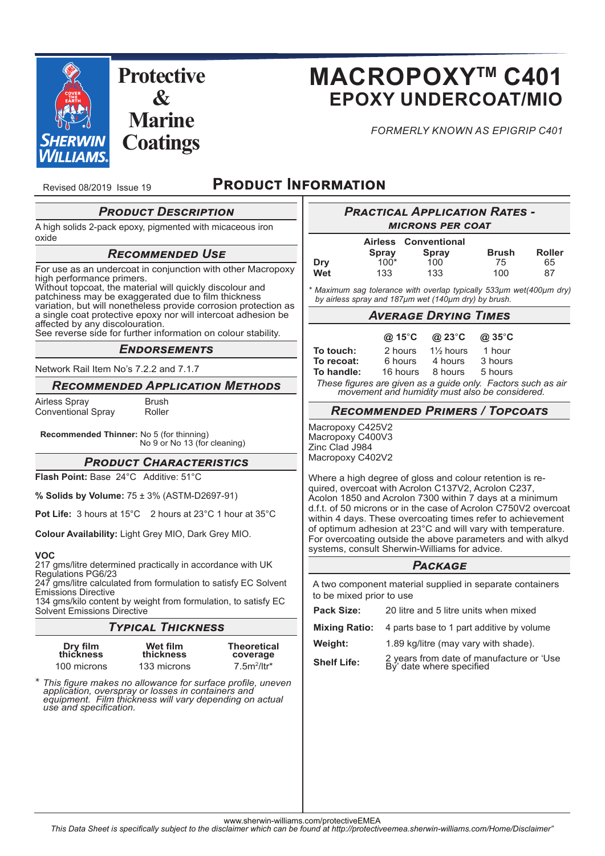

# **MACROPOXYTM C401 EPOXY UNDERCOAT/MIO**

*FORMERLY KNOWN AS EPIGRIP C401*

Revised 08/2019 Issue 19

# **PRODUCT INFORMATION**

# **PRODUCT DESCRIPTION**

A high solids 2-pack epoxy, pigmented with micaceous iron oxide

### *Rਤਢਮਬਬਤਭਣਤਣ Uਲਤ*

For use as an undercoat in conjunction with other Macropoxy high performance primers. Without topcoat, the material will quickly discolour and patchiness may be exaggerated due to film thickness variation, but will nonetheless provide corrosion protection as a single coat protective epoxy nor will intercoat adhesion be

affected by any discolouration. See reverse side for further information on colour stability.

#### ENDORSEMENTS

Network Rail Item No's 7.2.2 and 7.1.7

#### **RECOMMENDED APPLICATION METHODS**

Airless Spray **Brush** Conventional Spray Roller

**Recommended Thinner:** No 5 (for thinning) No 9 or No 13 (for cleaning)

**PRODUCT CHARACTERISTICS** 

**Flash Point:** Base 24°C Additive: 51°C

**% Solids by Volume:** 75 ± 3% (ASTM-D2697-91)

**Pot Life:** 3 hours at 15°C 2 hours at 23°C 1 hour at 35°C

**Colour Availability:** Light Grey MIO, Dark Grey MIO.

#### **VOC**

217 gms/litre determined practically in accordance with UK Regulations PG6/23

247 gms/litre calculated from formulation to satisfy EC Solvent Emissions Directive 134 gms/kilo content by weight from formulation, to satisfy EC

Solvent Emissions Directive

# *Tਸਯਨਢਠਫ Tਧਨਢਪਭਤਲਲ*

| Dry film<br>thickness | Wet film<br>thickness | <b>Theoretical</b><br>coverage |
|-----------------------|-----------------------|--------------------------------|
| 100 microns           | 133 microns           | $7.5m^2/ltr^*$                 |

\* *This fi gure makes no allowance for surface profi le, uneven application, overspray or losses in containers and equipment. Film thickness will vary depending on actual use and specifi cation.*

| <b>PRACTICAL APPLICATION RATES -</b><br><b>MICRONS PER COAT</b>                                                                                                                                                                                                                                                                                                                                                                                                                            |                                                 |                                                      |                                               |                           |  |  |
|--------------------------------------------------------------------------------------------------------------------------------------------------------------------------------------------------------------------------------------------------------------------------------------------------------------------------------------------------------------------------------------------------------------------------------------------------------------------------------------------|-------------------------------------------------|------------------------------------------------------|-----------------------------------------------|---------------------------|--|--|
| Dry<br>Wet                                                                                                                                                                                                                                                                                                                                                                                                                                                                                 | <b>Airless</b><br><b>Spray</b><br>$100*$<br>133 | Conventional<br>Spray<br>100<br>133                  | Brush<br>75<br>100                            | <b>Roller</b><br>65<br>87 |  |  |
| * Maximum sag tolerance with overlap typically 533µm wet(400µm dry)<br>by airless spray and 187µm wet (140µm dry) by brush.                                                                                                                                                                                                                                                                                                                                                                |                                                 |                                                      |                                               |                           |  |  |
|                                                                                                                                                                                                                                                                                                                                                                                                                                                                                            | <b>AVERAGE DRYING TIMES</b>                     |                                                      |                                               |                           |  |  |
| To touch:<br>To recoat:<br>To handle:<br>These figures are given as a guide only. Factors such as air<br>movement and humidity must also be considered.                                                                                                                                                                                                                                                                                                                                    | @ 15°C<br>2 hours<br>6 hours<br>16 hours        | @ 23°C<br>$1\frac{1}{2}$ hours<br>4 hours<br>8 hours | $@35^\circ C$<br>1 hour<br>3 hours<br>5 hours |                           |  |  |
|                                                                                                                                                                                                                                                                                                                                                                                                                                                                                            |                                                 | <b>RECOMMENDED PRIMERS / TOPCOATS</b>                |                                               |                           |  |  |
| Macropoxy C425V2<br>Macropoxy C400V3<br>Zinc Clad J984<br>Macropoxy C402V2                                                                                                                                                                                                                                                                                                                                                                                                                 |                                                 |                                                      |                                               |                           |  |  |
| Where a high degree of gloss and colour retention is re-<br>quired, overcoat with Acrolon C137V2, Acrolon C237,<br>Acolon 1850 and Acrolon 7300 within 7 days at a minimum<br>d.f.t. of 50 microns or in the case of Acrolon C750V2 overcoat<br>within 4 days. These overcoating times refer to achievement<br>of optimum adhesion at 23°C and will vary with temperature.<br>For overcoating outside the above parameters and with alkyd<br>systems, consult Sherwin-Williams for advice. |                                                 |                                                      |                                               |                           |  |  |
|                                                                                                                                                                                                                                                                                                                                                                                                                                                                                            |                                                 | <b>PACKAGE</b>                                       |                                               |                           |  |  |
| A two component material supplied in separate containers<br>to be mixed prior to use                                                                                                                                                                                                                                                                                                                                                                                                       |                                                 |                                                      |                                               |                           |  |  |
| <b>Pack Size:</b>                                                                                                                                                                                                                                                                                                                                                                                                                                                                          |                                                 | 20 litre and 5 litre units when mixed                |                                               |                           |  |  |
| <b>Mixing Ratio:</b>                                                                                                                                                                                                                                                                                                                                                                                                                                                                       |                                                 | 4 parts base to 1 part additive by volume            |                                               |                           |  |  |
| <b>Weight:</b>                                                                                                                                                                                                                                                                                                                                                                                                                                                                             |                                                 | 1.89 kg/litre (may vary with shade).                 |                                               |                           |  |  |

**Shelf Life:** 2 years from date of manufacture or 'Use **B**y' date where specified

www.sherwin-williams.com/protectiveEMEA

*This Data Sheet is specifi cally subject to the disclaimer which can be found at http://protectiveemea.sherwin-williams.com/Home/Disclaimer"*